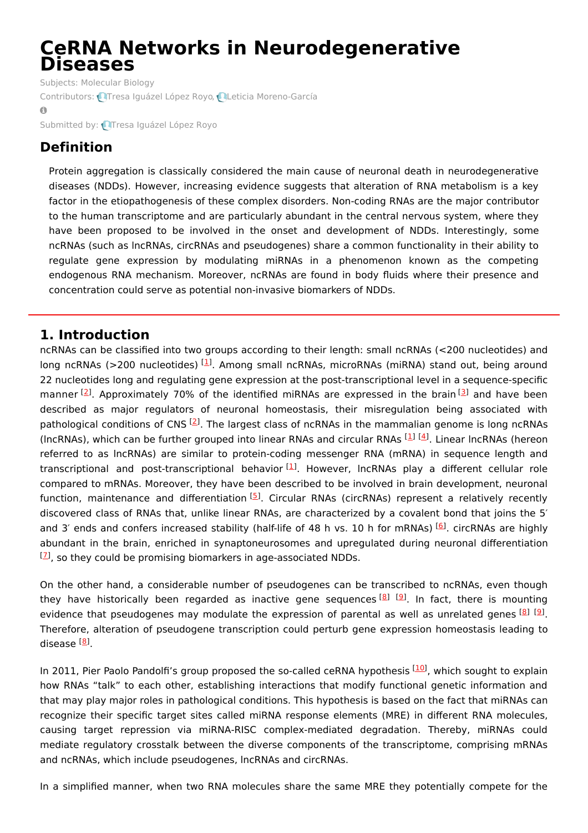# **CeRNA Networks in Neurodegenerative Diseases**

Subjects: [Molecular](https://encyclopedia.pub/item/subject/58) Biology Contributors: **OT**resa [Iguázel](https://sciprofiles.com/profile/1371024) López Royo, **QLeticia [Moreno-García](https://sciprofiles.com/profile/1282466)**  $\bullet$ 

Submitted by: Tresa [Iguázel](https://sciprofiles.com/profile/1371024) López Royo

# **Definition**

Protein aggregation is classically considered the main cause of neuronal death in neurodegenerative diseases (NDDs). However, increasing evidence suggests that alteration of RNA metabolism is a key factor in the etiopathogenesis of these complex disorders. Non-coding RNAs are the major contributor to the human transcriptome and are particularly abundant in the central nervous system, where they have been proposed to be involved in the onset and development of NDDs. Interestingly, some ncRNAs (such as lncRNAs, circRNAs and pseudogenes) share a common functionality in their ability to regulate gene expression by modulating miRNAs in a phenomenon known as the competing endogenous RNA mechanism. Moreover, ncRNAs are found in body fluids where their presence and concentration could serve as potential non-invasive biomarkers of NDDs.

## **1. Introduction**

ncRNAs can be classified into two groups according to their length: small ncRNAs (<200 nucleotides) and long ncRNAs (>200 nucleotides) <sup>[\[1](#page-10-0)]</sup>. Among small ncRNAs, microRNAs (miRNA) stand out, being around 22 nucleotides long and regulating gene expression at the post-transcriptional level in a sequence-specific manner <sup>[[2](#page-10-1)]</sup>. Approximately 70% of the identified miRNAs are expressed in the brain <sup>[\[3](#page-10-2)]</sup> and have been described as major regulators of neuronal homeostasis, their misregulation being associated with pathological conditions of CNS<sup>[\[2](#page-10-1)]</sup>. The largest class of ncRNAs in the mammalian genome is long ncRNAs (IncRNAs), which can be further grouped into linear RNAs and circular RNAs [\[1](#page-10-0)] [\[4](#page-10-3)]. Linear IncRNAs (hereon referred to as lncRNAs) are similar to protein-coding messenger RNA (mRNA) in sequence length and transcriptional and post-transcriptional behavior<sup>[\[1](#page-10-0)]</sup>. However, IncRNAs play a different cellular role compared to mRNAs. Moreover, they have been described to be involved in brain development, neuronal function, maintenance and differentiation <sup>[[5](#page-10-4)]</sup>. Circular RNAs (circRNAs) represent a relatively recently discovered class of RNAs that, unlike linear RNAs, are characterized by a covalent bond that joins the 5′ and 3' ends and confers increased stability (half-life of 48 h vs. 10 h for mRNAs) <sup>[\[6](#page-10-5)]</sup>. circRNAs are highly abundant in the brain, enriched in synaptoneurosomes and upregulated during neuronal differentiation  $[2]$ , so they could be promising biomarkers in age-associated NDDs.

On the other hand, a considerable number of pseudogenes can be transcribed to ncRNAs, even though they have historically been regarded as inactive gene sequences <sup>[\[8](#page-11-0)] [[9](#page-11-1)]</sup>. In fact, there is mounting evidence that pseudogenes may modulate the expression of parental as well as unrelated genes [\[8](#page-11-0)] [\[9](#page-11-1)]. Therefore, alteration of pseudogene transcription could perturb gene expression homeostasis leading to disease <sup>[<u>8</u>]</sup>.

In 2011, Pier Paolo Pandolfi's group proposed the so-called ceRNA hypothesis <sup>[\[10](#page-11-2)]</sup>, which sought to explain how RNAs "talk" to each other, establishing interactions that modify functional genetic information and that may play major roles in pathological conditions. This hypothesis is based on the fact that miRNAs can recognize their specific target sites called miRNA response elements (MRE) in different RNA molecules, causing target repression via miRNA-RISC complex-mediated degradation. Thereby, miRNAs could mediate regulatory crosstalk between the diverse components of the transcriptome, comprising mRNAs and ncRNAs, which include pseudogenes, lncRNAs and circRNAs.

In a simplified manner, when two RNA molecules share the same MRE they potentially compete for the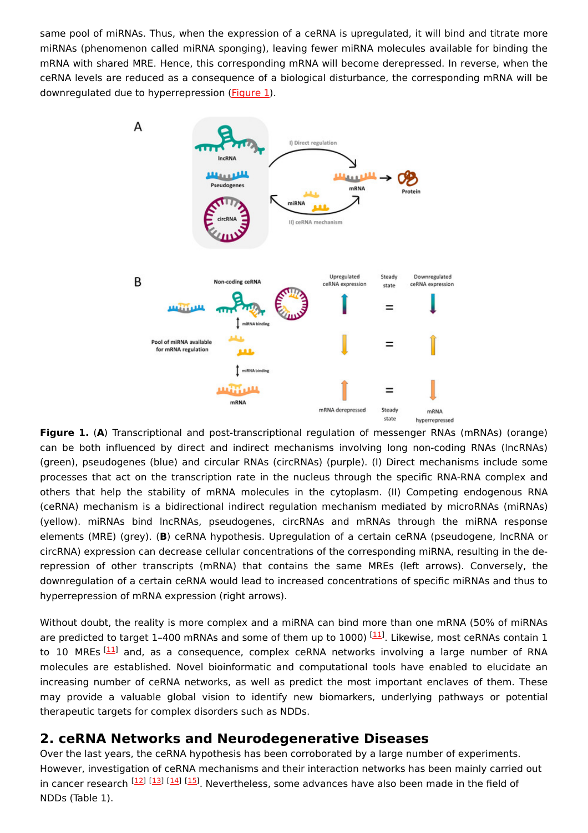same pool of miRNAs. Thus, when the expression of a ceRNA is upregulated, it will bind and titrate more miRNAs (phenomenon called miRNA sponging), leaving fewer miRNA molecules available for binding the mRNA with shared MRE. Hence, this corresponding mRNA will become derepressed. In reverse, when the ceRNA levels are reduced as a consequence of a biological disturbance, the corresponding mRNA will be downregulated due to hyperrepression [\(Figure](https://www.mdpi.com/1422-0067/21/24/9582/htm#fig_body_display_ijms-21-09582-f001) 1).



**Figure 1.** (**A**) Transcriptional and post-transcriptional regulation of messenger RNAs (mRNAs) (orange) can be both influenced by direct and indirect mechanisms involving long non-coding RNAs (lncRNAs) (green), pseudogenes (blue) and circular RNAs (circRNAs) (purple). (I) Direct mechanisms include some processes that act on the transcription rate in the nucleus through the specific RNA-RNA complex and others that help the stability of mRNA molecules in the cytoplasm. (II) Competing endogenous RNA (ceRNA) mechanism is a bidirectional indirect regulation mechanism mediated by microRNAs (miRNAs) (yellow). miRNAs bind lncRNAs, pseudogenes, circRNAs and mRNAs through the miRNA response elements (MRE) (grey). (**B**) ceRNA hypothesis. Upregulation of a certain ceRNA (pseudogene, lncRNA or circRNA) expression can decrease cellular concentrations of the corresponding miRNA, resulting in the derepression of other transcripts (mRNA) that contains the same MREs (left arrows). Conversely, the downregulation of a certain ceRNA would lead to increased concentrations of specific miRNAs and thus to hyperrepression of mRNA expression (right arrows).

Without doubt, the reality is more complex and a miRNA can bind more than one mRNA (50% of miRNAs are predicted to target 1-400 mRNAs and some of them up to 1000) [\[11](#page-11-3)]. Likewise, most ceRNAs contain 1 to 10 MREs <sup>[\[11](#page-11-3)]</sup> and, as a consequence, complex ceRNA networks involving a large number of RNA molecules are established. Novel bioinformatic and computational tools have enabled to elucidate an increasing number of ceRNA networks, as well as predict the most important enclaves of them. These may provide a valuable global vision to identify new biomarkers, underlying pathways or potential therapeutic targets for complex disorders such as NDDs.

## **2. ceRNA Networks and Neurodegenerative Diseases**

Over the last years, the ceRNA hypothesis has been corroborated by a large number of experiments. However, investigation of ceRNA mechanisms and their interaction networks has been mainly carried out in cancer research <sup>[[12\]](#page-11-4) [[13\]](#page-11-5) [[14\]](#page-11-6) [[15\]](#page-11-7)</sup>. Nevertheless, some advances have also been made in the field of NDDs (Table 1).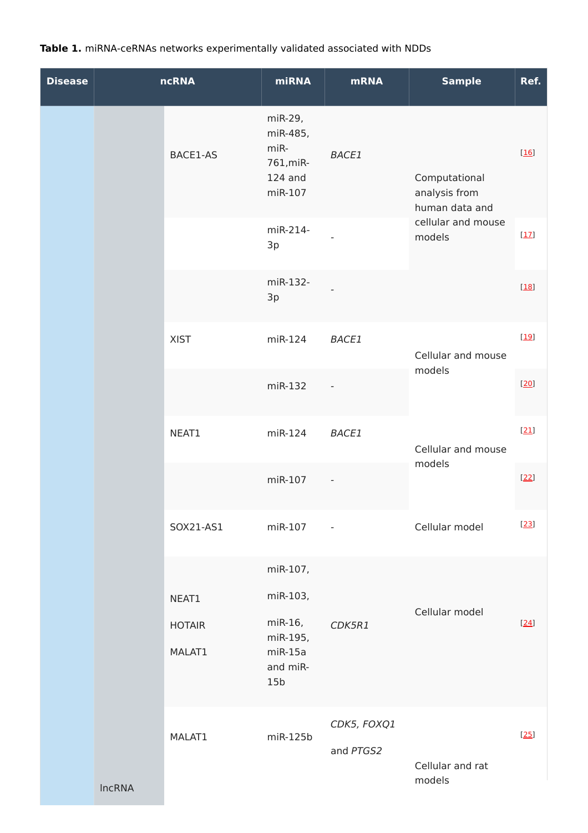## **Table 1.** miRNA-ceRNAs networks experimentally validated associated with NDDs

| <b>Disease</b> |               | <b>ncRNA</b>            | <b>miRNA</b>                                                    | <b>mRNA</b>              | <b>Sample</b>                                                                    | Ref.   |
|----------------|---------------|-------------------------|-----------------------------------------------------------------|--------------------------|----------------------------------------------------------------------------------|--------|
|                |               | BACE1-AS                | miR-29,<br>miR-485,<br>miR-<br>761, miR-<br>124 and<br>miR-107  | <b>BACE1</b>             | Computational<br>analysis from<br>human data and<br>cellular and mouse<br>models | $[16]$ |
|                |               |                         | miR-214-<br>3p                                                  |                          |                                                                                  | [17]   |
|                |               |                         | miR-132-<br>3p                                                  |                          |                                                                                  | $[18]$ |
|                |               | <b>XIST</b>             | miR-124                                                         | <b>BACE1</b>             | Cellular and mouse<br>models<br>Cellular and mouse<br>models                     | $[19]$ |
|                |               |                         | miR-132                                                         |                          |                                                                                  | [20]   |
|                |               | NEAT1                   | miR-124                                                         | <b>BACE1</b>             |                                                                                  | $[21]$ |
|                |               |                         | miR-107                                                         |                          |                                                                                  | $[22]$ |
|                |               | SOX21-AS1               | miR-107                                                         | $\sim$ $-$               | Cellular model                                                                   | $[23]$ |
|                |               |                         | miR-107,                                                        |                          | Cellular model                                                                   |        |
|                |               | NEAT1                   | miR-103,                                                        |                          |                                                                                  |        |
|                |               | <b>HOTAIR</b><br>MALAT1 | miR-16,<br>miR-195,<br>$miR-15a$<br>and miR-<br>15 <sub>b</sub> | CDK5R1                   |                                                                                  | [24]   |
|                | <b>IncRNA</b> | MALAT1                  | miR-125b                                                        | CDK5, FOXQ1<br>and PTGS2 | Cellular and rat<br>models                                                       | $[25]$ |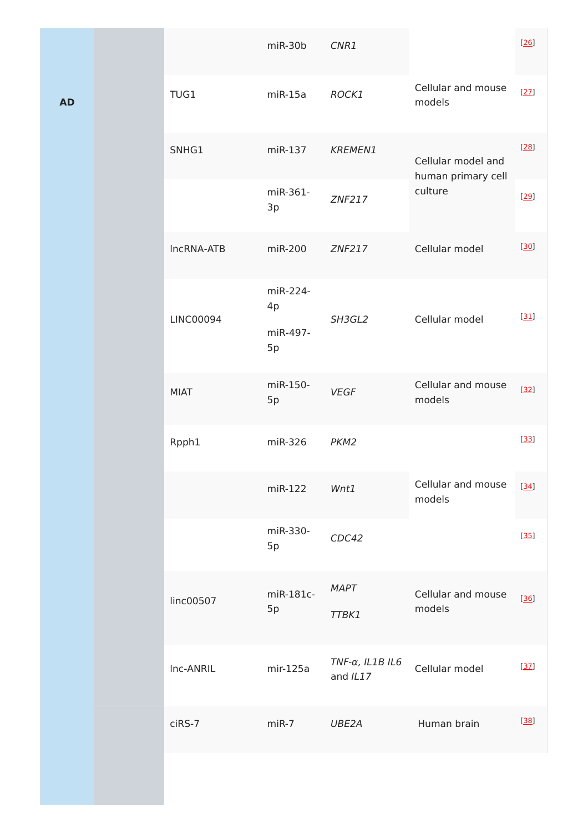|  |                  | miR-30b                          | CNR1                        |                                          | [26]   |
|--|------------------|----------------------------------|-----------------------------|------------------------------------------|--------|
|  | TUG1             | $miR-15a$                        | ROCK1                       | Cellular and mouse<br>models             | [27]   |
|  | SNHG1            | miR-137                          | <b>KREMEN1</b>              | Cellular model and<br>human primary cell | [28]   |
|  |                  | miR-361-<br>3p                   | <b>ZNF217</b>               | culture                                  | $[29]$ |
|  | IncRNA-ATB       | miR-200                          | ZNF217                      | Cellular model                           | [30]   |
|  | <b>LINC00094</b> | miR-224-<br>4p<br>miR-497-<br>5p | SH3GL2                      | Cellular model                           | $[31]$ |
|  | <b>MIAT</b>      | miR-150-<br>5p                   | <b>VEGF</b>                 | Cellular and mouse<br>models             | $[32]$ |
|  | Rpph1            | miR-326                          | PKM <sub>2</sub>            |                                          | $[33]$ |
|  |                  | miR-122                          | Wnt1                        | Cellular and mouse<br>models             | $[34]$ |
|  |                  | miR-330-<br>5p                   | CDC42                       |                                          | $[35]$ |
|  | linc00507        | miR-181c-<br>5p                  | <b>MAPT</b><br>TTBK1        | Cellular and mouse<br>models             | $[36]$ |
|  | Inc-ANRIL        | mir-125a                         | TNF-α, IL1B IL6<br>and IL17 | Cellular model                           | [37]   |
|  | ciRS-7           | $miR-7$                          | UBE2A                       | Human brain                              | [38]   |
|  |                  |                                  |                             |                                          |        |

**AD**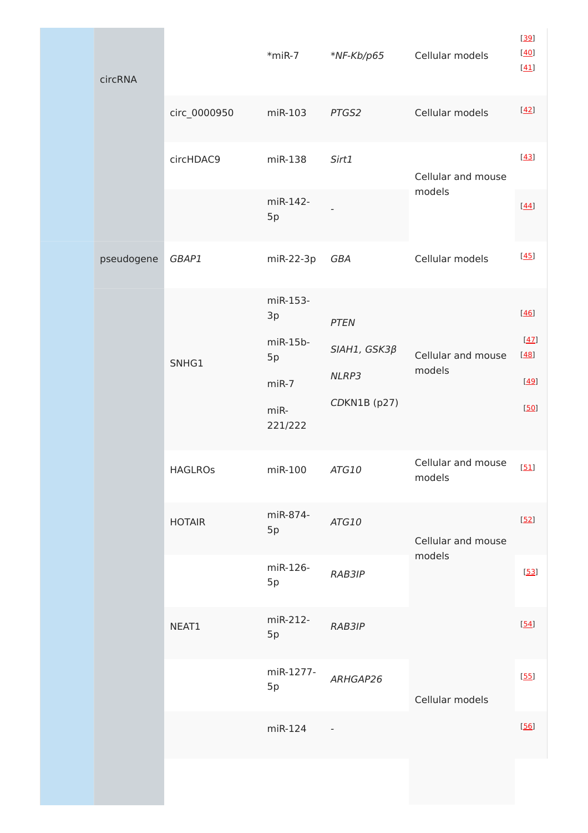|  | circRNA    |                | $*$ miR-7                                                        | $*$ NF-Kb/p65                                              | Cellular models              | [39]<br>[40]<br>$[41]$               |
|--|------------|----------------|------------------------------------------------------------------|------------------------------------------------------------|------------------------------|--------------------------------------|
|  |            | circ_0000950   | miR-103                                                          | PTGS2                                                      | Cellular models              | $[42]$                               |
|  |            | circHDAC9      | miR-138                                                          | Sirt1                                                      | Cellular and mouse<br>models | $[43]$                               |
|  |            |                | miR-142-<br>5p                                                   |                                                            |                              | [44]                                 |
|  | pseudogene | GBAP1          | miR-22-3p                                                        | GBA                                                        | Cellular models              | [45]                                 |
|  |            | SNHG1          | miR-153-<br>3p<br>$miR-15b-$<br>5p<br>$miR-7$<br>miR-<br>221/222 | <b>PTEN</b><br>$SIAH1, GSK3\beta$<br>NLRP3<br>CDKN1B (p27) | Cellular and mouse<br>models | [46]<br>[47]<br>[48]<br>[49]<br>[50] |
|  |            | <b>HAGLROS</b> | miR-100                                                          | ATG10                                                      | Cellular and mouse<br>models | [51]                                 |
|  |            | <b>HOTAIR</b>  | miR-874-<br>5p                                                   | ATG10                                                      | Cellular and mouse           | $[52]$                               |
|  |            |                | miR-126-<br>5p                                                   | RAB3IP                                                     | models                       | $[53]$                               |
|  |            | NEAT1          | miR-212-<br>5p                                                   | RAB3IP                                                     |                              | $[54]$                               |
|  |            |                | miR-1277-<br>5p                                                  | ARHGAP26                                                   | Cellular models              | $[55]$                               |
|  |            |                | miR-124                                                          |                                                            |                              | $[56]$                               |
|  |            |                |                                                                  |                                                            |                              |                                      |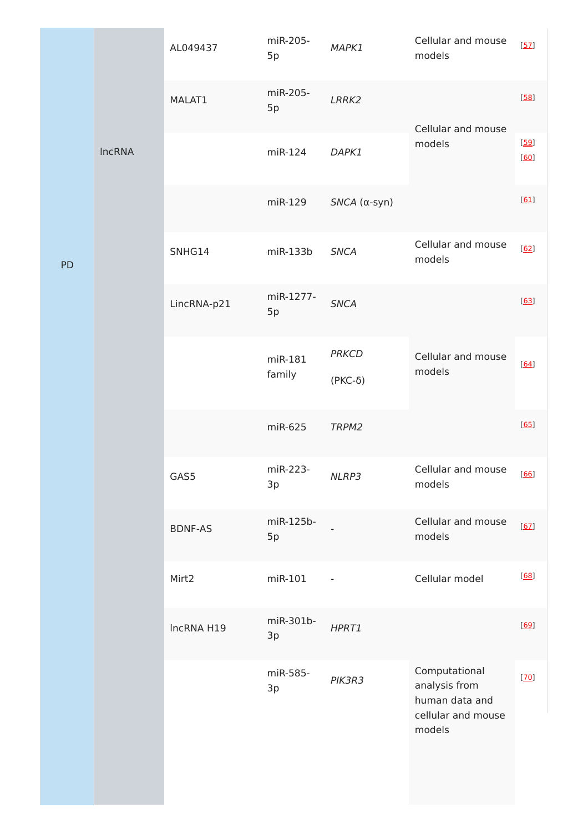|           |               | AL049437       | miR-205-<br>5p    | MAPK1                     | Cellular and mouse<br>models                                                     | [57]         |
|-----------|---------------|----------------|-------------------|---------------------------|----------------------------------------------------------------------------------|--------------|
|           |               | MALAT1         | miR-205-<br>5p    | LRRK2                     | Cellular and mouse<br>models                                                     | [58]         |
|           | <b>IncRNA</b> |                | miR-124           | DAPK1                     |                                                                                  | [59]<br>[60] |
|           |               |                | miR-129           | $SNCA$ ( $\alpha$ -syn)   |                                                                                  | [61]         |
| <b>PD</b> |               | SNHG14         | $miR-133b$        | <b>SNCA</b>               | Cellular and mouse<br>models                                                     | [62]         |
|           |               | LincRNA-p21    | miR-1277-<br>5p   | <b>SNCA</b>               |                                                                                  | [63]         |
|           |               |                | miR-181<br>family | <b>PRKCD</b><br>$(PKC-δ)$ | Cellular and mouse<br>models                                                     | [64]         |
|           |               |                | miR-625           | TRPM2                     |                                                                                  | [65]         |
|           |               | GAS5           | miR-223-<br>3p    | NLRP3                     | Cellular and mouse<br>models                                                     | [66]         |
|           |               | <b>BDNF-AS</b> | miR-125b-<br>5p   |                           | Cellular and mouse<br>models                                                     | [67]         |
|           |               | Mirt2          | miR-101           |                           | Cellular model                                                                   | [68]         |
|           |               | IncRNA H19     | miR-301b-<br>3p   | HPRT1                     |                                                                                  | [69]         |
|           |               |                | miR-585-<br>3p    | PIK3R3                    | Computational<br>analysis from<br>human data and<br>cellular and mouse<br>models | [70]         |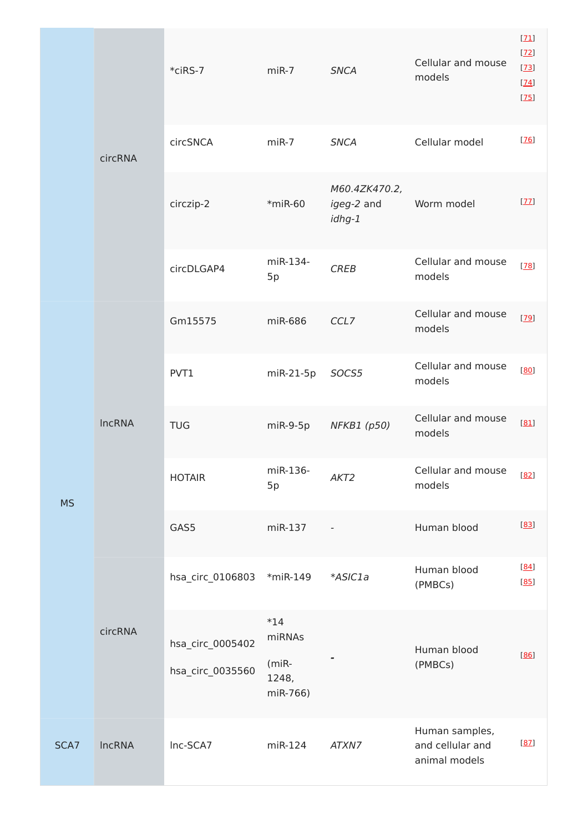|           | circRNA       | $*$ ciRS-7                           | $miR-7$                                       | <b>SNCA</b>                           | Cellular and mouse<br>models                        | [71]<br>$[22]$<br>$[23]$<br>[24]<br>$[25]$ |
|-----------|---------------|--------------------------------------|-----------------------------------------------|---------------------------------------|-----------------------------------------------------|--------------------------------------------|
|           |               | circSNCA                             | $miR-7$                                       | <b>SNCA</b>                           | Cellular model                                      | [76]                                       |
|           |               | circzip-2                            | $*$ miR-60                                    | M60.4ZK470.2,<br>igeg-2 and<br>idhg-1 | Worm model                                          | [77]                                       |
|           |               | circDLGAP4                           | miR-134-<br>5p                                | <b>CREB</b>                           | Cellular and mouse<br>models                        | [78]                                       |
| <b>MS</b> | <b>IncRNA</b> | Gm15575                              | miR-686                                       | CCL7                                  | Cellular and mouse<br>models                        | $[29]$                                     |
|           |               | PVT1                                 | miR-21-5p                                     | SOCS5                                 | Cellular and mouse<br>models                        | [80]                                       |
|           |               | <b>TUG</b>                           | $miR-9-5p$                                    | NFKB1 (p50)                           | Cellular and mouse<br>models                        | [81]                                       |
|           |               | <b>HOTAIR</b>                        | miR-136-<br>5p                                | AKT <sub>2</sub>                      | Cellular and mouse [82]<br>models                   |                                            |
|           |               | GAS5                                 | miR-137                                       |                                       | Human blood                                         | [83]                                       |
|           | circRNA       | hsa_circ_0106803                     | $*$ miR-149                                   | *ASIC1a                               | Human blood<br>(PMBCs)                              | [84]<br>[85]                               |
|           |               | hsa_circ_0005402<br>hsa_circ_0035560 | $*14$<br>miRNAs<br>(miR-<br>1248,<br>miR-766) |                                       | Human blood<br>(PMBCs)                              | [86]                                       |
| SCA7      | <b>IncRNA</b> | Inc-SCA7                             | miR-124                                       | ATXN7                                 | Human samples,<br>and cellular and<br>animal models | [87]                                       |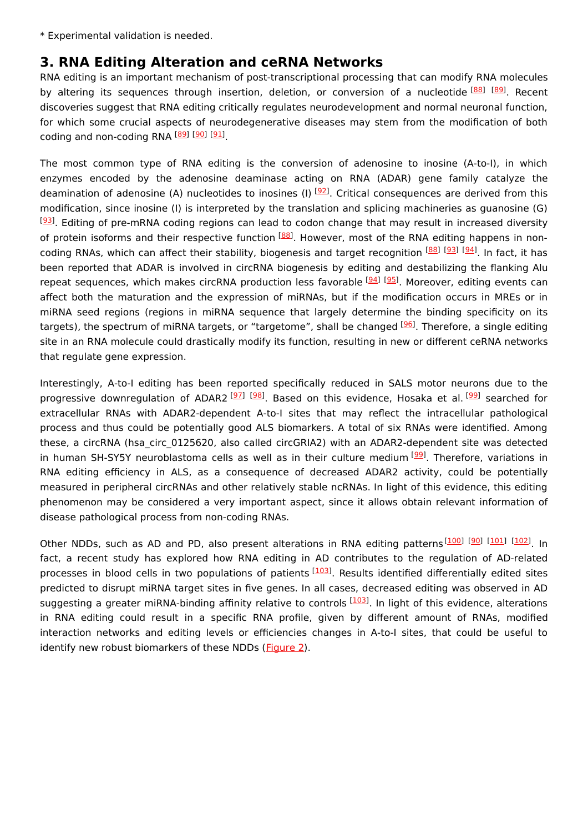\* Experimental validation is needed.

## **3. RNA Editing Alteration and ceRNA Networks**

RNA editing is an important mechanism of post-transcriptional processing that can modify RNA molecules by altering its sequences through insertion, deletion, or conversion of a nucleotide [\[88](#page-15-1)] [\[89](#page-15-2)]. Recent discoveries suggest that RNA editing critically regulates neurodevelopment and normal neuronal function, for which some crucial aspects of neurodegenerative diseases may stem from the modification of both coding and non-coding RNA [\[89](#page-15-2)] [\[90](#page-15-3)] [\[91](#page-15-4)]

The most common type of RNA editing is the conversion of adenosine to inosine (A-to-I), in which enzymes encoded by the adenosine deaminase acting on RNA (ADAR) gene family catalyze the deamination of adenosine (A) nucleotides to inosines (I) <sup>[\[92](#page-15-5)]</sup>. Critical consequences are derived from this modification, since inosine (I) is interpreted by the translation and splicing machineries as guanosine (G) [[93](#page-15-6)]. Editing of pre-mRNA coding regions can lead to codon change that may result in increased diversity of protein isoforms and their respective function <sup>[\[88](#page-15-1)]</sup>. However, most of the RNA editing happens in non-coding RNAs, which can affect their stability, biogenesis and target recognition [[88](#page-15-1)] [\[93](#page-15-6)] [\[94](#page-15-7)]. In fact, it has been reported that ADAR is involved in circRNA biogenesis by editing and destabilizing the flanking Alu repeat sequences, which makes circRNA production less favorable <sup>[[94\]](#page-15-7) [[95](#page-15-8)]</sup>. Moreover, editing events can affect both the maturation and the expression of miRNAs, but if the modification occurs in MREs or in miRNA seed regions (regions in miRNA sequence that largely determine the binding specificity on its targets), the spectrum of miRNA targets, or "targetome", shall be changed <sup>[\[96](#page-15-9)]</sup>. Therefore, a single editing site in an RNA molecule could drastically modify its function, resulting in new or different ceRNA networks that regulate gene expression.

Interestingly, A-to-I editing has been reported specifically reduced in SALS motor neurons due to the progressive downregulation of ADAR2<sup>[[97](#page-15-10)] [[98\]](#page-15-11)</sup>. Based on this evidence, Hosaka et al.<sup>[\[99](#page-15-12)]</sup> searched for extracellular RNAs with ADAR2-dependent A-to-I sites that may reflect the intracellular pathological process and thus could be potentially good ALS biomarkers. A total of six RNAs were identified. Among these, a circRNA (hsa circ 0125620, also called circGRIA2) with an ADAR2-dependent site was detected in human SH-SY5Y neuroblastoma cells as well as in their culture medium [\[99](#page-15-12)]. Therefore, variations in RNA editing efficiency in ALS, as a consequence of decreased ADAR2 activity, could be potentially measured in peripheral circRNAs and other relatively stable ncRNAs. In light of this evidence, this editing phenomenon may be considered a very important aspect, since it allows obtain relevant information of disease pathological process from non-coding RNAs.

Other NDDs, such as AD and PD, also present alterations in RNA editing patterns<sup>[\[100](#page-15-13)] [\[90](#page-15-3)] [[101](#page-15-14)] [\[102](#page-15-15)]</sup>. In fact, a recent study has explored how RNA editing in AD contributes to the regulation of AD-related processes in blood cells in two populations of patients [[103](#page-15-16)]. Results identified differentially edited sites predicted to disrupt miRNA target sites in five genes. In all cases, decreased editing was observed in AD suggesting a greater miRNA-binding affinity relative to controls [\[103](#page-15-16)]. In light of this evidence, alterations in RNA editing could result in a specific RNA profile, given by different amount of RNAs, modified interaction networks and editing levels or efficiencies changes in A-to-I sites, that could be useful to identify new robust biomarkers of these NDDs [\(Figure](https://www.mdpi.com/1422-0067/21/24/9582/htm#fig_body_display_ijms-21-09582-f002) 2).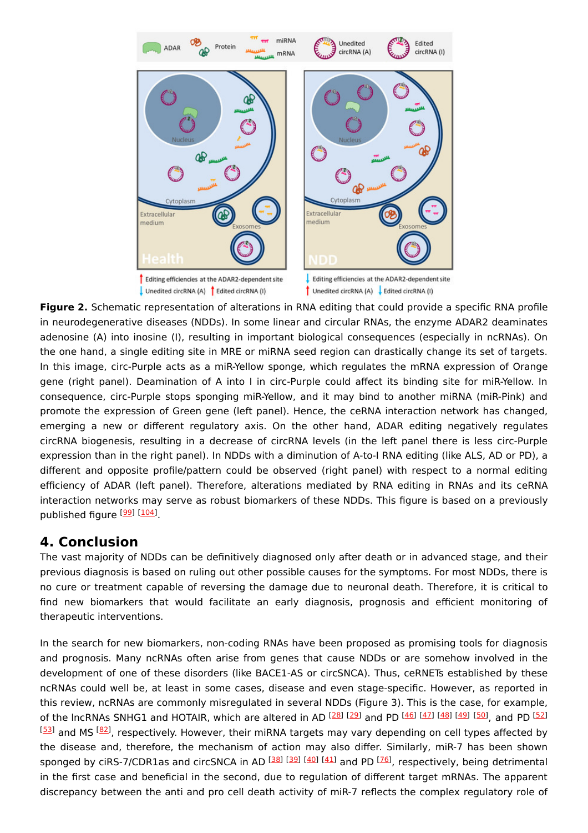

**Figure 2.** Schematic representation of alterations in RNA editing that could provide a specific RNA profile in neurodegenerative diseases (NDDs). In some linear and circular RNAs, the enzyme ADAR2 deaminates adenosine (A) into inosine (I), resulting in important biological consequences (especially in ncRNAs). On the one hand, a single editing site in MRE or miRNA seed region can drastically change its set of targets. In this image, circ-Purple acts as a miR-Yellow sponge, which regulates the mRNA expression of Orange gene (right panel). Deamination of A into I in circ-Purple could affect its binding site for miR-Yellow. In consequence, circ-Purple stops sponging miR-Yellow, and it may bind to another miRNA (miR-Pink) and promote the expression of Green gene (left panel). Hence, the ceRNA interaction network has changed, emerging a new or different regulatory axis. On the other hand, ADAR editing negatively regulates circRNA biogenesis, resulting in a decrease of circRNA levels (in the left panel there is less circ-Purple expression than in the right panel). In NDDs with a diminution of A-to-I RNA editing (like ALS, AD or PD), a different and opposite profile/pattern could be observed (right panel) with respect to a normal editing efficiency of ADAR (left panel). Therefore, alterations mediated by RNA editing in RNAs and its ceRNA interaction networks may serve as robust biomarkers of these NDDs. This figure is based on a previously published figure <sup>[<u>99</u>] [<u>104</u>]</sup>

## **4. Conclusion**

The vast majority of NDDs can be definitively diagnosed only after death or in advanced stage, and their previous diagnosis is based on ruling out other possible causes for the symptoms. For most NDDs, there is no cure or treatment capable of reversing the damage due to neuronal death. Therefore, it is critical to find new biomarkers that would facilitate an early diagnosis, prognosis and efficient monitoring of therapeutic interventions.

In the search for new biomarkers, non-coding RNAs have been proposed as promising tools for diagnosis and prognosis. Many ncRNAs often arise from genes that cause NDDs or are somehow involved in the development of one of these disorders (like BACE1-AS or circSNCA). Thus, ceRNETs established by these ncRNAs could well be, at least in some cases, disease and even stage-specific. However, as reported in this review, ncRNAs are commonly misregulated in several NDDs (Figure 3). This is the case, for example, of the lncRNAs SNHG1 and HOTAIR, which are altered in AD [\[28](#page-12-1)] [\[29](#page-12-2)] and PD [[46](#page-13-0)] [[47](#page-13-1)] [[48](#page-13-2)] [[49](#page-13-3)] [\[50](#page-13-4)], and PD [\[52](#page-13-6)] [[53](#page-13-7)] and MS [\[82\]](#page-14-16), respectively. However, their miRNA targets may vary depending on cell types affected by the disease and, therefore, the mechanism of action may also differ. Similarly, miR-7 has been shown sponged by ciRS-7/CDR1as and circSNCA in AD [\[38\]](#page-12-11) [\[39\]](#page-12-12) [\[40\]](#page-12-13) [\[41\]](#page-12-14) and PD [\[76](#page-14-10)], respectively, being detrimental in the first case and beneficial in the second, due to regulation of different target mRNAs. The apparent discrepancy between the anti and pro cell death activity of miR-7 reflects the complex regulatory role of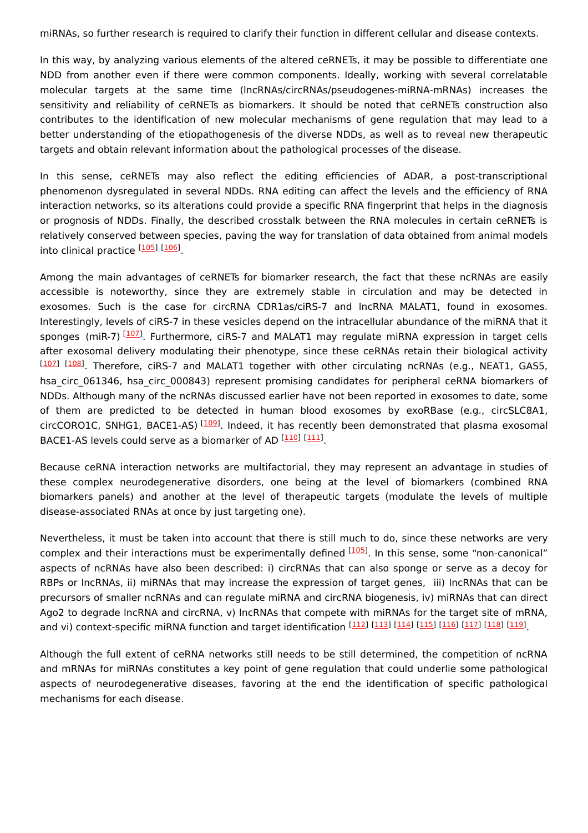miRNAs, so further research is required to clarify their function in different cellular and disease contexts.

In this way, by analyzing various elements of the altered ceRNETs, it may be possible to differentiate one NDD from another even if there were common components. Ideally, working with several correlatable molecular targets at the same time (lncRNAs/circRNAs/pseudogenes-miRNA-mRNAs) increases the sensitivity and reliability of ceRNETs as biomarkers. It should be noted that ceRNETs construction also contributes to the identification of new molecular mechanisms of gene regulation that may lead to a better understanding of the etiopathogenesis of the diverse NDDs, as well as to reveal new therapeutic targets and obtain relevant information about the pathological processes of the disease.

In this sense, ceRNETs may also reflect the editing efficiencies of ADAR, a post-transcriptional phenomenon dysregulated in several NDDs. RNA editing can affect the levels and the efficiency of RNA interaction networks, so its alterations could provide a specific RNA fingerprint that helps in the diagnosis or prognosis of NDDs. Finally, the described crosstalk between the RNA molecules in certain ceRNETs is relatively conserved between species, paving the way for translation of data obtained from animal models into clinical practice [\[105](#page-15-18)] [[106](#page-15-19)]

Among the main advantages of ceRNETs for biomarker research, the fact that these ncRNAs are easily accessible is noteworthy, since they are extremely stable in circulation and may be detected in exosomes. Such is the case for circRNA CDR1as/ciRS-7 and lncRNA MALAT1, found in exosomes. Interestingly, levels of ciRS-7 in these vesicles depend on the intracellular abundance of the miRNA that it sponges (miR-7)<sup>[[107](#page-16-0)]</sup>. Furthermore, ciRS-7 and MALAT1 may regulate miRNA expression in target cells after exosomal delivery modulating their phenotype, since these ceRNAs retain their biological activity [[107](#page-16-0)] [\[108](#page-16-1)]. Therefore, ciRS-7 and MALAT1 together with other circulating ncRNAs (e.g., NEAT1, GAS5, hsa circ 061346, hsa circ 000843) represent promising candidates for peripheral ceRNA biomarkers of NDDs. Although many of the ncRNAs discussed earlier have not been reported in exosomes to date, some of them are predicted to be detected in human blood exosomes by exoRBase (e.g., circSLC8A1, circCORO1C, SNHG1, BACE1-AS) <sup>[[109](#page-16-2)]</sup>. Indeed, it has recently been demonstrated that plasma exosomal BACE1-AS levels could serve as a biomarker of AD <sup>[\[110](#page-16-3)]</sup> [\[111](#page-16-4)].

Because ceRNA interaction networks are multifactorial, they may represent an advantage in studies of these complex neurodegenerative disorders, one being at the level of biomarkers (combined RNA biomarkers panels) and another at the level of therapeutic targets (modulate the levels of multiple disease-associated RNAs at once by just targeting one).

Nevertheless, it must be taken into account that there is still much to do, since these networks are very complex and their interactions must be experimentally defined <sup>[[105](#page-15-18)]</sup>. In this sense, some "non-canonical" aspects of ncRNAs have also been described: i) circRNAs that can also sponge or serve as a decoy for RBPs or lncRNAs, ii) miRNAs that may increase the expression of target genes, iii) lncRNAs that can be precursors of smaller ncRNAs and can regulate miRNA and circRNA biogenesis, iv) miRNAs that can direct Ago2 to degrade lncRNA and circRNA, v) lncRNAs that compete with miRNAs for the target site of mRNA, and vi) context-specific miRNA function and target identification [[112](#page-16-5)] [[113](#page-16-6)] [\[114](#page-16-7)] [\[115](#page-16-8)] [\[116](#page-16-9)] [\[117](#page-16-10)] [[118](#page-16-11)] [\[119](#page-16-12)]

Although the full extent of ceRNA networks still needs to be still determined, the competition of ncRNA and mRNAs for miRNAs constitutes a key point of gene regulation that could underlie some pathological aspects of neurodegenerative diseases, favoring at the end the identification of specific pathological mechanisms for each disease.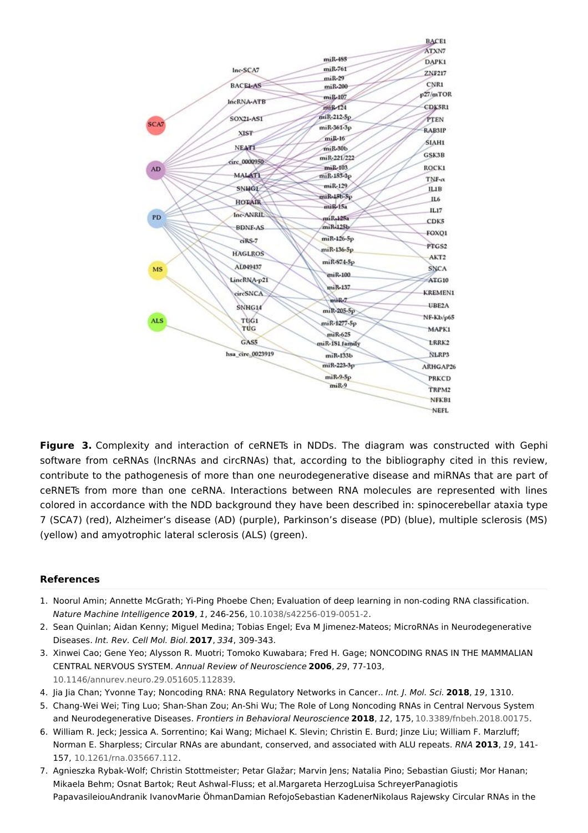

**Figure 3.** Complexity and interaction of ceRNETs in NDDs. The diagram was constructed with Gephi software from ceRNAs (lncRNAs and circRNAs) that, according to the bibliography cited in this review, contribute to the pathogenesis of more than one neurodegenerative disease and miRNAs that are part of ceRNETs from more than one ceRNA. Interactions between RNA molecules are represented with lines colored in accordance with the NDD background they have been described in: spinocerebellar ataxia type 7 (SCA7) (red), Alzheimer's disease (AD) (purple), Parkinson's disease (PD) (blue), multiple sclerosis (MS) (yellow) and amyotrophic lateral sclerosis (ALS) (green).

### **References**

- <span id="page-10-0"></span>1. Noorul Amin; Annette McGrath; Yi-Ping Phoebe Chen; Evaluation of deep learning in non-coding RNA classification. Nature Machine Intelligence **2019**, 1, 246-256, [10.1038/s42256-019-0051-2](http://doi.org/10.1038/s42256-019-0051-2).
- <span id="page-10-1"></span>2. Sean Quinlan; Aidan Kenny; Miguel Medina; Tobias Engel; Eva M Jimenez-Mateos; MicroRNAs in Neurodegenerative Diseases. Int. Rev. Cell Mol. Biol.**2017**, 334, 309-343.
- <span id="page-10-2"></span>3. Xinwei Cao; Gene Yeo; Alysson R. Muotri; Tomoko Kuwabara; Fred H. Gage; NONCODING RNAS IN THE MAMMALIAN CENTRAL NERVOUS SYSTEM. Annual Review of Neuroscience **2006**, 29, 77-103, [10.1146/annurev.neuro.29.051605.112839](http://doi.org/10.1146/annurev.neuro.29.051605.112839).
- <span id="page-10-3"></span>4. Jia Jia Chan; Yvonne Tay; Noncoding RNA: RNA Regulatory Networks in Cancer.. Int. J. Mol. Sci. **2018**, 19, 1310.
- <span id="page-10-4"></span>5. Chang-Wei Wei; Ting Luo; Shan-Shan Zou; An-Shi Wu; The Role of Long Noncoding RNAs in Central Nervous System and Neurodegenerative Diseases. Frontiers in Behavioral Neuroscience **2018**, 12, 175, [10.3389/fnbeh.2018.00175](http://doi.org/10.3389/fnbeh.2018.00175).
- <span id="page-10-5"></span>6. William R. Jeck; Jessica A. Sorrentino; Kai Wang; Michael K. Slevin; Christin E. Burd; Jinze Liu; William F. Marzluff; Norman E. Sharpless; Circular RNAs are abundant, conserved, and associated with ALU repeats. RNA **2013**, 19, 141- 157, [10.1261/rna.035667.112](http://doi.org/10.1261/rna.035667.112).
- <span id="page-10-6"></span>7. Agnieszka Rybak-Wolf; Christin Stottmeister; Petar Glažar; Marvin Jens; Natalia Pino; Sebastian Giusti; Mor Hanan; Mikaela Behm; Osnat Bartok; Reut Ashwal-Fluss; et al.Margareta HerzogLuisa SchreyerPanagiotis PapavasileiouAndranik IvanovMarie ÖhmanDamian RefojoSebastian KadenerNikolaus Rajewsky Circular RNAs in the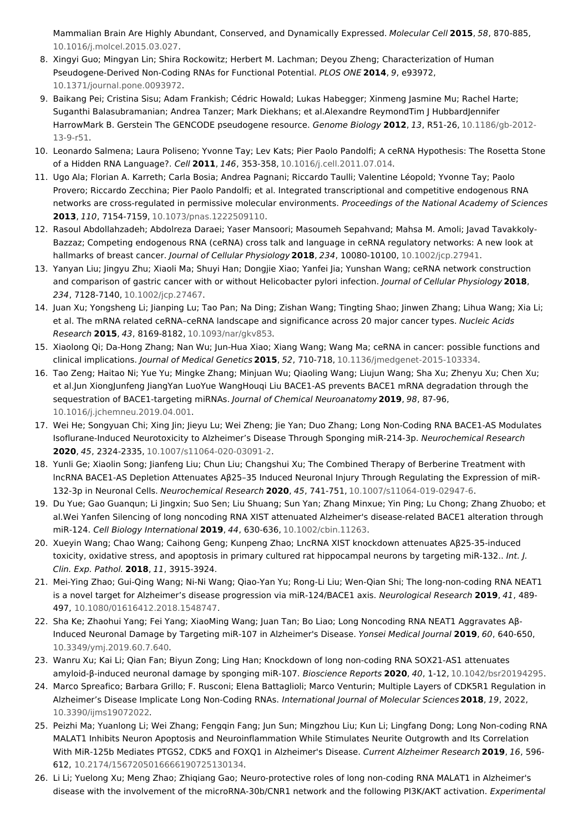Mammalian Brain Are Highly Abundant, Conserved, and Dynamically Expressed. Molecular Cell **2015**, 58, 870-885, [10.1016/j.molcel.2015.03.027](http://doi.org/10.1016/j.molcel.2015.03.027).

- <span id="page-11-0"></span>8. Xingyi Guo; Mingyan Lin; Shira Rockowitz; Herbert M. Lachman; Deyou Zheng; Characterization of Human Pseudogene-Derived Non-Coding RNAs for Functional Potential. PLOS ONE **2014**, 9, e93972, [10.1371/journal.pone.0093972](http://doi.org/10.1371/journal.pone.0093972).
- <span id="page-11-1"></span>9. Baikang Pei; Cristina Sisu; Adam Frankish; Cédric Howald; Lukas Habegger; Xinmeng Jasmine Mu; Rachel Harte; Suganthi Balasubramanian; Andrea Tanzer; Mark Diekhans; et al.Alexandre ReymondTim J HubbardJennifer HarrowMark B. Gerstein The GENCODE pseudogene resource. Genome Biology **2012**, 13, R51-26, [10.1186/gb-2012-](http://doi.org/10.1186/gb-2012-13-9-r51) 13-9-r51.
- <span id="page-11-2"></span>10. Leonardo Salmena; Laura Poliseno; Yvonne Tay; Lev Kats; Pier Paolo Pandolfi; A ceRNA Hypothesis: The Rosetta Stone of a Hidden RNA Language?. Cell **2011**, 146, 353-358, [10.1016/j.cell.2011.07.014](http://doi.org/10.1016/j.cell.2011.07.014).
- <span id="page-11-3"></span>11. Ugo Ala; Florian A. Karreth; Carla Bosia; Andrea Pagnani; Riccardo Taulli; Valentine Léopold; Yvonne Tay; Paolo Provero; Riccardo Zecchina; Pier Paolo Pandolfi; et al. Integrated transcriptional and competitive endogenous RNA networks are cross-regulated in permissive molecular environments. Proceedings of the National Academy of Sciences **2013**, 110, 7154-7159, [10.1073/pnas.1222509110.](http://doi.org/10.1073/pnas.1222509110)
- <span id="page-11-4"></span>12. Rasoul Abdollahzadeh; Abdolreza Daraei; Yaser Mansoori; Masoumeh Sepahvand; Mahsa M. Amoli; Javad Tavakkoly-Bazzaz; Competing endogenous RNA (ceRNA) cross talk and language in ceRNA regulatory networks: A new look at hallmarks of breast cancer. Journal of Cellular Physiology **2018**, 234, 10080-10100, [10.1002/jcp.27941](http://doi.org/10.1002/jcp.27941).
- <span id="page-11-5"></span>13. Yanyan Liu; Jingyu Zhu; Xiaoli Ma; Shuyi Han; Dongjie Xiao; Yanfei Jia; Yunshan Wang; ceRNA network construction and comparison of gastric cancer with or without Helicobacter pylori infection. Journal of Cellular Physiology **2018**, 234, 7128-7140, [10.1002/jcp.27467](http://doi.org/10.1002/jcp.27467).
- <span id="page-11-6"></span>14. Juan Xu; Yongsheng Li; Jianping Lu; Tao Pan; Na Ding; Zishan Wang; Tingting Shao; Jinwen Zhang; Lihua Wang; Xia Li; et al. The mRNA related ceRNA–ceRNA landscape and significance across 20 major cancer types. Nucleic Acids Research **2015**, 43, 8169-8182, [10.1093/nar/gkv853](http://doi.org/10.1093/nar/gkv853).
- <span id="page-11-7"></span>15. Xiaolong Qi; Da-Hong Zhang; Nan Wu; Jun-Hua Xiao; Xiang Wang; Wang Ma; ceRNA in cancer: possible functions and clinical implications. Journal of Medical Genetics **2015**, 52, 710-718, [10.1136/jmedgenet-2015-103334](http://doi.org/10.1136/jmedgenet-2015-103334).
- <span id="page-11-8"></span>16. Tao Zeng; Haitao Ni; Yue Yu; Mingke Zhang; Minjuan Wu; Qiaoling Wang; Liujun Wang; Sha Xu; Zhenyu Xu; Chen Xu; et al.Jun XiongJunfeng JiangYan LuoYue WangHouqi Liu BACE1-AS prevents BACE1 mRNA degradation through the sequestration of BACE1-targeting miRNAs. Journal of Chemical Neuroanatomy **2019**, 98, 87-96, [10.1016/j.jchemneu.2019.04.001](http://doi.org/10.1016/j.jchemneu.2019.04.001).
- <span id="page-11-9"></span>17. Wei He; Songyuan Chi; Xing Jin; Jieyu Lu; Wei Zheng; Jie Yan; Duo Zhang; Long Non-Coding RNA BACE1-AS Modulates Isoflurane-Induced Neurotoxicity to Alzheimer's Disease Through Sponging miR-214-3p. Neurochemical Research **2020**, 45, 2324-2335, [10.1007/s11064-020-03091-2](http://doi.org/10.1007/s11064-020-03091-2).
- <span id="page-11-10"></span>18. Yunli Ge; Xiaolin Song; Jianfeng Liu; Chun Liu; Changshui Xu; The Combined Therapy of Berberine Treatment with lncRNA BACE1-AS Depletion Attenuates Aβ25–35 Induced Neuronal Injury Through Regulating the Expression of miR-132-3p in Neuronal Cells. Neurochemical Research **2020**, 45, 741-751, [10.1007/s11064-019-02947-6](http://doi.org/10.1007/s11064-019-02947-6).
- <span id="page-11-11"></span>19. Du Yue; Gao Guanqun; Li Jingxin; Suo Sen; Liu Shuang; Sun Yan; Zhang Minxue; Yin Ping; Lu Chong; Zhang Zhuobo; et al.Wei Yanfen Silencing of long noncoding RNA XIST attenuated Alzheimer's disease-related BACE1 alteration through miR‐124. Cell Biology International **2019**, 44, 630-636, [10.1002/cbin.11263](http://doi.org/10.1002/cbin.11263).
- <span id="page-11-12"></span>20. Xueyin Wang; Chao Wang; Caihong Geng; Kunpeng Zhao; LncRNA XIST knockdown attenuates Aβ25-35-induced toxicity, oxidative stress, and apoptosis in primary cultured rat hippocampal neurons by targeting miR-132.. Int. J. Clin. Exp. Pathol. **2018**, 11, 3915-3924.
- <span id="page-11-13"></span>21. Mei-Ying Zhao; Gui-Qing Wang; Ni-Ni Wang; Qiao-Yan Yu; Rong-Li Liu; Wen-Qian Shi; The long-non-coding RNA NEAT1 is a novel target for Alzheimer's disease progression via miR-124/BACE1 axis. Neurological Research **2019**, 41, 489- 497, [10.1080/01616412.2018.1548747](http://doi.org/10.1080/01616412.2018.1548747).
- <span id="page-11-14"></span>22. Sha Ke; Zhaohui Yang; Fei Yang; XiaoMing Wang; Juan Tan; Bo Liao; Long Noncoding RNA NEAT1 Aggravates Aβ-Induced Neuronal Damage by Targeting miR-107 in Alzheimer's Disease. Yonsei Medical Journal **2019**, 60, 640-650, [10.3349/ymj.2019.60.7.640](http://doi.org/10.3349/ymj.2019.60.7.640).
- <span id="page-11-15"></span>23. Wanru Xu; Kai Li; Qian Fan; Biyun Zong; Ling Han; Knockdown of long non-coding RNA SOX21-AS1 attenuates amyloid-β-induced neuronal damage by sponging miR-107. Bioscience Reports **2020**, 40, 1-12, [10.1042/bsr20194295](http://doi.org/10.1042/bsr20194295).
- <span id="page-11-16"></span>24. Marco Spreafico; Barbara Grillo; F. Rusconi; Elena Battaglioli; Marco Venturin; Multiple Layers of CDK5R1 Regulation in Alzheimer's Disease Implicate Long Non-Coding RNAs. International Journal of Molecular Sciences**2018**, 19, 2022, [10.3390/ijms19072022](http://doi.org/10.3390/ijms19072022).
- <span id="page-11-17"></span>25. Peizhi Ma; Yuanlong Li; Wei Zhang; Fengqin Fang; Jun Sun; Mingzhou Liu; Kun Li; Lingfang Dong; Long Non-coding RNA MALAT1 Inhibits Neuron Apoptosis and Neuroinflammation While Stimulates Neurite Outgrowth and Its Correlation With MiR-125b Mediates PTGS2, CDK5 and FOXQ1 in Alzheimer's Disease. Current Alzheimer Research **2019**, 16, 596- 612, [10.2174/1567205016666190725130134](http://doi.org/10.2174/1567205016666190725130134).
- <span id="page-11-18"></span>26. Li Li; Yuelong Xu; Meng Zhao; Zhiqiang Gao; Neuro-protective roles of long non-coding RNA MALAT1 in Alzheimer's disease with the involvement of the microRNA-30b/CNR1 network and the following PI3K/AKT activation. Experimental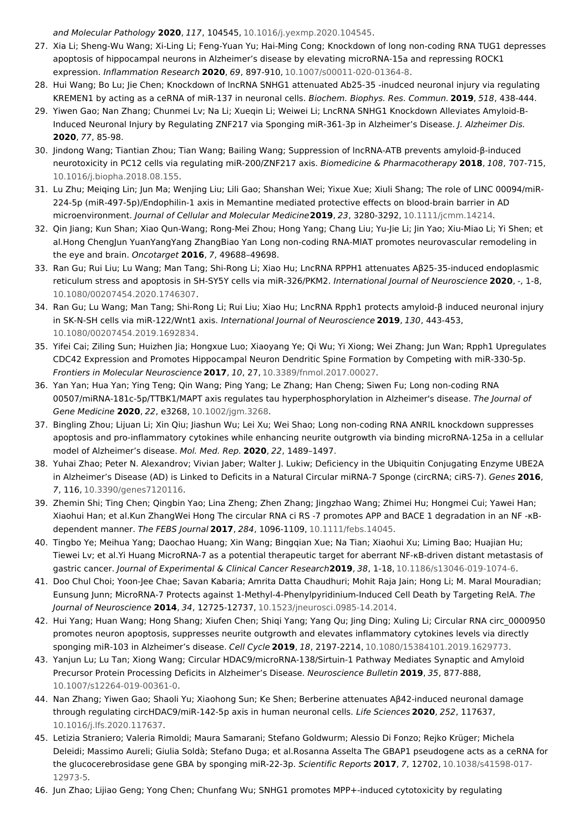<span id="page-12-0"></span>and Molecular Pathology **2020**, 117, 104545, [10.1016/j.yexmp.2020.104545](http://doi.org/10.1016/j.yexmp.2020.104545).

- 27. Xia Li; Sheng-Wu Wang; Xi-Ling Li; Feng-Yuan Yu; Hai-Ming Cong; Knockdown of long non-coding RNA TUG1 depresses apoptosis of hippocampal neurons in Alzheimer's disease by elevating microRNA-15a and repressing ROCK1 expression. Inflammation Research **2020**, 69, 897-910, [10.1007/s00011-020-01364-8](http://doi.org/10.1007/s00011-020-01364-8).
- <span id="page-12-1"></span>28. Hui Wang; Bo Lu; Jie Chen; Knockdown of lncRNA SNHG1 attenuated Ab25-35 -inudced neuronal injury via regulating KREMEN1 by acting as a ceRNA of miR-137 in neuronal cells. Biochem. Biophys. Res. Commun. **2019**, 518, 438-444.
- <span id="page-12-2"></span>29. Yiwen Gao; Nan Zhang; Chunmei Lv; Na Li; Xueqin Li; Weiwei Li; LncRNA SNHG1 Knockdown Alleviates Amyloid-B-Induced Neuronal Injury by Regulating ZNF217 via Sponging miR-361-3p in Alzheimer's Disease. J. Alzheimer Dis. **2020**, 77, 85-98.
- <span id="page-12-3"></span>30. Jindong Wang; Tiantian Zhou; Tian Wang; Bailing Wang; Suppression of lncRNA-ATB prevents amyloid-β-induced neurotoxicity in PC12 cells via regulating miR-200/ZNF217 axis. Biomedicine & Pharmacotherapy **2018**, 108, 707-715, [10.1016/j.biopha.2018.08.155](http://doi.org/10.1016/j.biopha.2018.08.155).
- <span id="page-12-4"></span>31. Lu Zhu; Meiqing Lin; Jun Ma; Wenjing Liu; Lili Gao; Shanshan Wei; Yixue Xue; Xiuli Shang; The role of LINC 00094/miR‐ 224‐5p (miR‐497‐5p)/Endophilin‐1 axis in Memantine mediated protective effects on blood‐brain barrier in AD microenvironment. Journal of Cellular and Molecular Medicine**2019**, 23, 3280-3292, [10.1111/jcmm.14214](http://doi.org/10.1111/jcmm.14214).
- <span id="page-12-5"></span>32. Qin Jiang; Kun Shan; Xiao Qun-Wang; Rong-Mei Zhou; Hong Yang; Chang Liu; Yu-Jie Li; Jin Yao; Xiu-Miao Li; Yi Shen; et al.Hong ChengJun YuanYangYang ZhangBiao Yan Long non-coding RNA-MIAT promotes neurovascular remodeling in the eye and brain. Oncotarget **2016**, 7, 49688–49698.
- <span id="page-12-6"></span>33. Ran Gu; Rui Liu; Lu Wang; Man Tang; Shi-Rong Li; Xiao Hu; LncRNA RPPH1 attenuates Aβ25-35-induced endoplasmic reticulum stress and apoptosis in SH-SY5Y cells via miR-326/PKM2. International Journal of Neuroscience **2020**, -, 1-8, [10.1080/00207454.2020.1746307](http://doi.org/10.1080/00207454.2020.1746307).
- <span id="page-12-7"></span>34. Ran Gu; Lu Wang; Man Tang; Shi-Rong Li; Rui Liu; Xiao Hu; LncRNA Rpph1 protects amyloid-β induced neuronal injury in SK-N-SH cells via miR-122/Wnt1 axis. International Journal of Neuroscience **2019**, 130, 443-453, [10.1080/00207454.2019.1692834](http://doi.org/10.1080/00207454.2019.1692834).
- <span id="page-12-8"></span>35. Yifei Cai; Ziling Sun; Huizhen Jia; Hongxue Luo; Xiaoyang Ye; Qi Wu; Yi Xiong; Wei Zhang; Jun Wan; Rpph1 Upregulates CDC42 Expression and Promotes Hippocampal Neuron Dendritic Spine Formation by Competing with miR-330-5p. Frontiers in Molecular Neuroscience **2017**, 10, 27, [10.3389/fnmol.2017.00027](http://doi.org/10.3389/fnmol.2017.00027).
- <span id="page-12-9"></span>36. Yan Yan; Hua Yan; Ying Teng; Qin Wang; Ping Yang; Le Zhang; Han Cheng; Siwen Fu; Long non‐coding RNA 00507/miRNA-181c-5p/TTBK1/MAPT axis regulates tau hyperphosphorylation in Alzheimer's disease. The Journal of Gene Medicine **2020**, 22, e3268, [10.1002/jgm.3268](http://doi.org/10.1002/jgm.3268).
- <span id="page-12-10"></span>37. Bingling Zhou; Lijuan Li; Xin Qiu; Jiashun Wu; Lei Xu; Wei Shao; Long non-coding RNA ANRIL knockdown suppresses apoptosis and pro-inflammatory cytokines while enhancing neurite outgrowth via binding microRNA-125a in a cellular model of Alzheimer's disease. Mol. Med. Rep. **2020**, 22, 1489–1497.
- <span id="page-12-11"></span>38. Yuhai Zhao; Peter N. Alexandrov; Vivian Jaber; Walter J. Lukiw; Deficiency in the Ubiquitin Conjugating Enzyme UBE2A in Alzheimer's Disease (AD) is Linked to Deficits in a Natural Circular miRNA-7 Sponge (circRNA; ciRS-7). Genes **2016**, 7, 116, [10.3390/genes7120116](http://doi.org/10.3390/genes7120116).
- <span id="page-12-12"></span>39. Zhemin Shi; Ting Chen; Qingbin Yao; Lina Zheng; Zhen Zhang; Jingzhao Wang; Zhimei Hu; Hongmei Cui; Yawei Han; Xiaohui Han; et al.Kun ZhangWei Hong The circular RNA ci RS ‐7 promotes APP and BACE 1 degradation in an NF ‐κB‐ dependent manner. The FEBS Journal **2017**, 284, 1096-1109, [10.1111/febs.14045](http://doi.org/10.1111/febs.14045).
- <span id="page-12-13"></span>40. Tingbo Ye; Meihua Yang; Daochao Huang; Xin Wang; Bingqian Xue; Na Tian; Xiaohui Xu; Liming Bao; Huajian Hu; Tiewei Lv; et al.Yi Huang MicroRNA-7 as a potential therapeutic target for aberrant NF-κB-driven distant metastasis of gastric cancer. Journal of Experimental & Clinical Cancer Research**2019**, 38, 1-18, [10.1186/s13046-019-1074-6](http://doi.org/10.1186/s13046-019-1074-6).
- <span id="page-12-14"></span>41. Doo Chul Choi; Yoon-Jee Chae; Savan Kabaria; Amrita Datta Chaudhuri; Mohit Raja Jain; Hong Li; M. Maral Mouradian; Eunsung Junn; MicroRNA-7 Protects against 1-Methyl-4-Phenylpyridinium-Induced Cell Death by Targeting RelA. The Journal of Neuroscience **2014**, 34, 12725-12737, [10.1523/jneurosci.0985-14.2014](http://doi.org/10.1523/jneurosci.0985-14.2014).
- <span id="page-12-15"></span>42. Hui Yang; Huan Wang; Hong Shang; Xiufen Chen; Shiqi Yang; Yang Qu; Jing Ding; Xuling Li; Circular RNA circ\_0000950 promotes neuron apoptosis, suppresses neurite outgrowth and elevates inflammatory cytokines levels via directly sponging miR-103 in Alzheimer's disease. Cell Cycle **2019**, 18, 2197-2214, [10.1080/15384101.2019.1629773](http://doi.org/10.1080/15384101.2019.1629773).
- <span id="page-12-16"></span>43. Yanjun Lu; Lu Tan; Xiong Wang; Circular HDAC9/microRNA-138/Sirtuin-1 Pathway Mediates Synaptic and Amyloid Precursor Protein Processing Deficits in Alzheimer's Disease. Neuroscience Bulletin **2019**, 35, 877-888, [10.1007/s12264-019-00361-0](http://doi.org/10.1007/s12264-019-00361-0).
- <span id="page-12-17"></span>44. Nan Zhang; Yiwen Gao; Shaoli Yu; Xiaohong Sun; Ke Shen; Berberine attenuates Aβ42-induced neuronal damage through regulating circHDAC9/miR-142-5p axis in human neuronal cells. Life Sciences **2020**, 252, 117637, [10.1016/j.lfs.2020.117637](http://doi.org/10.1016/j.lfs.2020.117637).
- <span id="page-12-18"></span>45. Letizia Straniero; Valeria Rimoldi; Maura Samarani; Stefano Goldwurm; Alessio Di Fonzo; Rejko Krüger; Michela Deleidi; Massimo Aureli; Giulia Soldà; Stefano Duga; et al.Rosanna Asselta The GBAP1 pseudogene acts as a ceRNA for the glucocerebrosidase gene GBA by sponging miR-22-3p. Scientific Reports **2017**, 7, 12702, [10.1038/s41598-017-](http://doi.org/10.1038/s41598-017-12973-5) 12973-5.
- 46. Jun Zhao; Lijiao Geng; Yong Chen; Chunfang Wu; SNHG1 promotes MPP+-induced cytotoxicity by regulating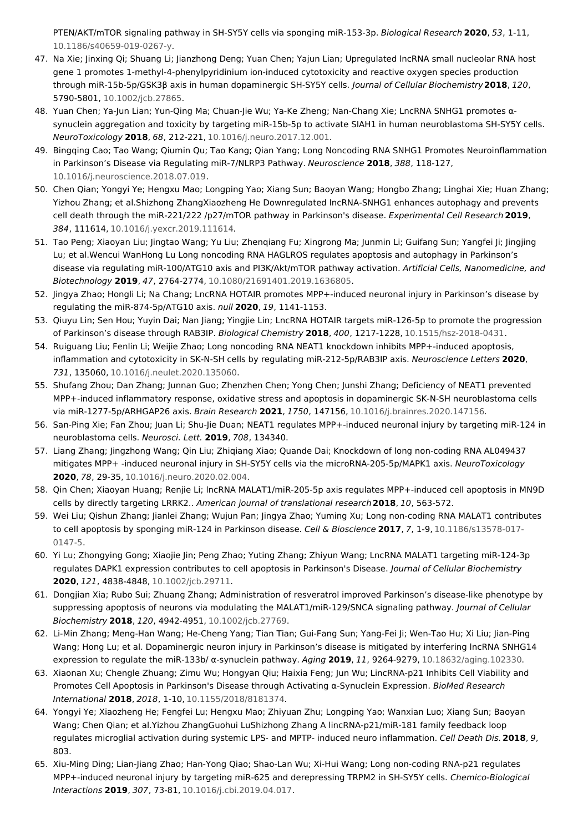<span id="page-13-0"></span>PTEN/AKT/mTOR signaling pathway in SH-SY5Y cells via sponging miR-153-3p. Biological Research **2020**, 53, 1-11, [10.1186/s40659-019-0267-y](http://doi.org/10.1186/s40659-019-0267-y).

- <span id="page-13-1"></span>47. Na Xie; Jinxing Qi; Shuang Li; Jianzhong Deng; Yuan Chen; Yajun Lian; Upregulated lncRNA small nucleolar RNA host gene 1 promotes 1‐methyl‐4‐phenylpyridinium ion‐induced cytotoxicity and reactive oxygen species production through miR‐15b‐5p/GSK3β axis in human dopaminergic SH‐SY5Y cells. Journal of Cellular Biochemistry**2018**, 120, 5790-5801, [10.1002/jcb.27865](http://doi.org/10.1002/jcb.27865).
- <span id="page-13-2"></span>48. Yuan Chen; Ya-Jun Lian; Yun-Qing Ma; Chuan-Jie Wu; Ya-Ke Zheng; Nan-Chang Xie; LncRNA SNHG1 promotes αsynuclein aggregation and toxicity by targeting miR-15b-5p to activate SIAH1 in human neuroblastoma SH-SY5Y cells. NeuroToxicology **2018**, 68, 212-221, [10.1016/j.neuro.2017.12.001](http://doi.org/10.1016/j.neuro.2017.12.001).
- <span id="page-13-3"></span>49. Bingqing Cao; Tao Wang; Qiumin Qu; Tao Kang; Qian Yang; Long Noncoding RNA SNHG1 Promotes Neuroinflammation in Parkinson's Disease via Regulating miR-7/NLRP3 Pathway. Neuroscience **2018**, 388, 118-127, [10.1016/j.neuroscience.2018.07.019](http://doi.org/10.1016/j.neuroscience.2018.07.019).
- <span id="page-13-4"></span>50. Chen Qian; Yongyi Ye; Hengxu Mao; Longping Yao; Xiang Sun; Baoyan Wang; Hongbo Zhang; Linghai Xie; Huan Zhang; Yizhou Zhang; et al.Shizhong ZhangXiaozheng He Downregulated lncRNA-SNHG1 enhances autophagy and prevents cell death through the miR-221/222 /p27/mTOR pathway in Parkinson's disease. Experimental Cell Research **2019**, 384, 111614, [10.1016/j.yexcr.2019.111614](http://doi.org/10.1016/j.yexcr.2019.111614).
- <span id="page-13-5"></span>51. Tao Peng; Xiaoyan Liu; Jingtao Wang; Yu Liu; Zhenqiang Fu; Xingrong Ma; Junmin Li; Guifang Sun; Yangfei Ji; Jingjing Lu; et al.Wencui WanHong Lu Long noncoding RNA HAGLROS regulates apoptosis and autophagy in Parkinson's disease via regulating miR-100/ATG10 axis and PI3K/Akt/mTOR pathway activation. Artificial Cells, Nanomedicine, and Biotechnology **2019**, 47, 2764-2774, [10.1080/21691401.2019.1636805](http://doi.org/10.1080/21691401.2019.1636805).
- <span id="page-13-6"></span>52. Jingya Zhao; Hongli Li; Na Chang; LncRNA HOTAIR promotes MPP+-induced neuronal injury in Parkinson's disease by regulating the miR-874-5p/ATG10 axis. null **2020**, 19, 1141-1153.
- <span id="page-13-7"></span>53. Qiuyu Lin; Sen Hou; Yuyin Dai; Nan Jiang; Yingjie Lin; LncRNA HOTAIR targets miR-126-5p to promote the progression of Parkinson's disease through RAB3IP. Biological Chemistry **2018**, 400, 1217-1228, [10.1515/hsz-2018-0431](http://doi.org/10.1515/hsz-2018-0431).
- <span id="page-13-8"></span>54. Ruiguang Liu; Fenlin Li; Weijie Zhao; Long noncoding RNA NEAT1 knockdown inhibits MPP+-induced apoptosis, inflammation and cytotoxicity in SK-N-SH cells by regulating miR-212-5p/RAB3IP axis. Neuroscience Letters **2020**, 731, 135060, [10.1016/j.neulet.2020.135060](http://doi.org/10.1016/j.neulet.2020.135060).
- <span id="page-13-9"></span>55. Shufang Zhou; Dan Zhang; Junnan Guo; Zhenzhen Chen; Yong Chen; Junshi Zhang; Deficiency of NEAT1 prevented MPP+-induced inflammatory response, oxidative stress and apoptosis in dopaminergic SK-N-SH neuroblastoma cells via miR-1277-5p/ARHGAP26 axis. Brain Research **2021**, 1750, 147156, [10.1016/j.brainres.2020.147156](http://doi.org/10.1016/j.brainres.2020.147156).
- <span id="page-13-10"></span>56. San-Ping Xie; Fan Zhou; Juan Li; Shu-Jie Duan; NEAT1 regulates MPP+-induced neuronal injury by targeting miR-124 in neuroblastoma cells. Neurosci. Lett. **2019**, 708, 134340.
- <span id="page-13-11"></span>57. Liang Zhang; Jingzhong Wang; Qin Liu; Zhiqiang Xiao; Quande Dai; Knockdown of long non-coding RNA AL049437 mitigates MPP+ -induced neuronal injury in SH-SY5Y cells via the microRNA-205-5p/MAPK1 axis. NeuroToxicology **2020**, 78, 29-35, [10.1016/j.neuro.2020.02.004.](http://doi.org/10.1016/j.neuro.2020.02.004)
- <span id="page-13-12"></span>58. Qin Chen; Xiaoyan Huang; Renjie Li; lncRNA MALAT1/miR-205-5p axis regulates MPP+-induced cell apoptosis in MN9D cells by directly targeting LRRK2.. American journal of translational research**2018**, 10, 563-572.
- <span id="page-13-13"></span>59. Wei Liu; Qishun Zhang; Jianlei Zhang; Wujun Pan; Jingya Zhao; Yuming Xu; Long non-coding RNA MALAT1 contributes to cell apoptosis by sponging miR-124 in Parkinson disease. Cell & Bioscience **2017**, 7, 1-9, [10.1186/s13578-017-](http://doi.org/10.1186/s13578-017-0147-5) 0147-5.
- <span id="page-13-14"></span>60. Yi Lu; Zhongying Gong; Xiaojie Jin; Peng Zhao; Yuting Zhang; Zhiyun Wang; LncRNA MALAT1 targeting miR‐124‐3p regulates DAPK1 expression contributes to cell apoptosis in Parkinson's Disease. Journal of Cellular Biochemistry **2020**, 121, 4838-4848, [10.1002/jcb.29711](http://doi.org/10.1002/jcb.29711).
- <span id="page-13-15"></span>61. Dongjian Xia; Rubo Sui; Zhuang Zhang; Administration of resveratrol improved Parkinson's disease‐like phenotype by suppressing apoptosis of neurons via modulating the MALAT1/miR-129/SNCA signaling pathway. Journal of Cellular Biochemistry **2018**, 120, 4942-4951, [10.1002/jcb.27769](http://doi.org/10.1002/jcb.27769).
- <span id="page-13-16"></span>62. Li-Min Zhang; Meng-Han Wang; He-Cheng Yang; Tian Tian; Gui-Fang Sun; Yang-Fei Ji; Wen-Tao Hu; Xi Liu; Jian-Ping Wang; Hong Lu; et al. Dopaminergic neuron injury in Parkinson's disease is mitigated by interfering lncRNA SNHG14 expression to regulate the miR-133b/ α-synuclein pathway. Aging **2019**, 11, 9264-9279, [10.18632/aging.102330](http://doi.org/10.18632/aging.102330).
- <span id="page-13-17"></span>63. Xiaonan Xu; Chengle Zhuang; Zimu Wu; Hongyan Qiu; Haixia Feng; Jun Wu; LincRNA-p21 Inhibits Cell Viability and Promotes Cell Apoptosis in Parkinson's Disease through Activating α-Synuclein Expression. BioMed Research International **2018**, 2018, 1-10, [10.1155/2018/8181374](http://doi.org/10.1155/2018/8181374).
- <span id="page-13-18"></span>64. Yongyi Ye; Xiaozheng He; Fengfei Lu; Hengxu Mao; Zhiyuan Zhu; Longping Yao; Wanxian Luo; Xiang Sun; Baoyan Wang; Chen Qian; et al.Yizhou ZhangGuohui LuShizhong Zhang A lincRNA-p21/miR-181 family feedback loop regulates microglial activation during systemic LPS- and MPTP- induced neuro inflammation. Cell Death Dis.**2018**, 9, 803.
- <span id="page-13-19"></span>65. Xiu-Ming Ding; Lian-Jiang Zhao; Han-Yong Qiao; Shao-Lan Wu; Xi-Hui Wang; Long non-coding RNA-p21 regulates MPP+-induced neuronal injury by targeting miR-625 and derepressing TRPM2 in SH-SY5Y cells. Chemico-Biological Interactions **2019**, 307, 73-81, [10.1016/j.cbi.2019.04.017.](http://doi.org/10.1016/j.cbi.2019.04.017)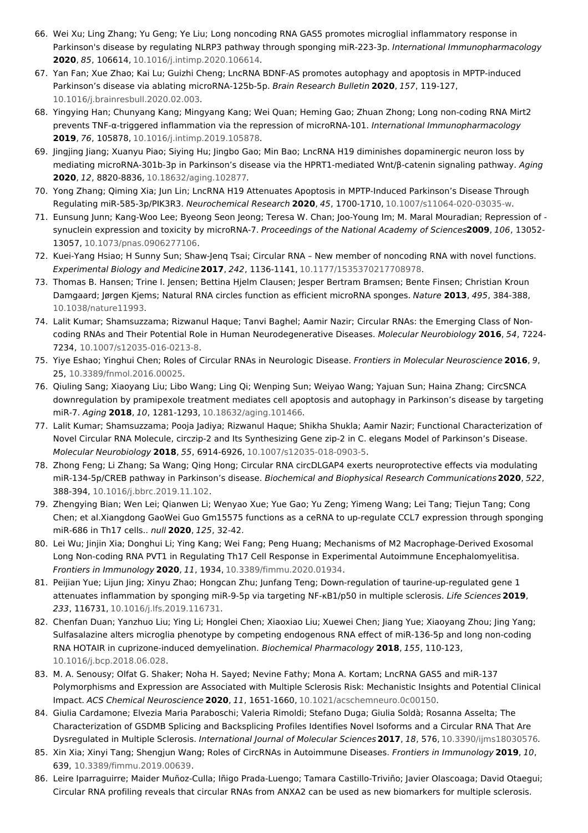- <span id="page-14-0"></span>66. Wei Xu; Ling Zhang; Yu Geng; Ye Liu; Long noncoding RNA GAS5 promotes microglial inflammatory response in Parkinson's disease by regulating NLRP3 pathway through sponging miR-223-3p. International Immunopharmacology **2020**, 85, 106614, [10.1016/j.intimp.2020.106614](http://doi.org/10.1016/j.intimp.2020.106614).
- <span id="page-14-1"></span>67. Yan Fan; Xue Zhao; Kai Lu; Guizhi Cheng; LncRNA BDNF-AS promotes autophagy and apoptosis in MPTP-induced Parkinson's disease via ablating microRNA-125b-5p. Brain Research Bulletin **2020**, 157, 119-127, [10.1016/j.brainresbull.2020.02.003](http://doi.org/10.1016/j.brainresbull.2020.02.003).
- <span id="page-14-2"></span>68. Yingying Han; Chunyang Kang; Mingyang Kang; Wei Quan; Heming Gao; Zhuan Zhong; Long non-coding RNA Mirt2 prevents TNF-α-triggered inflammation via the repression of microRNA-101. International Immunopharmacology **2019**, 76, 105878, [10.1016/j.intimp.2019.105878](http://doi.org/10.1016/j.intimp.2019.105878).
- <span id="page-14-3"></span>69. Jingjing Jiang; Xuanyu Piao; Siying Hu; Jingbo Gao; Min Bao; LncRNA H19 diminishes dopaminergic neuron loss by mediating microRNA-301b-3p in Parkinson's disease via the HPRT1-mediated Wnt/β-catenin signaling pathway. Aging **2020**, 12, 8820-8836, [10.18632/aging.102877](http://doi.org/10.18632/aging.102877).
- <span id="page-14-4"></span>70. Yong Zhang; Qiming Xia; Jun Lin; LncRNA H19 Attenuates Apoptosis in MPTP-Induced Parkinson's Disease Through Regulating miR-585-3p/PIK3R3. Neurochemical Research **2020**, 45, 1700-1710, [10.1007/s11064-020-03035-w](http://doi.org/10.1007/s11064-020-03035-w).
- <span id="page-14-5"></span>71. Eunsung Junn; Kang-Woo Lee; Byeong Seon Jeong; Teresa W. Chan; Joo-Young Im; M. Maral Mouradian; Repression of synuclein expression and toxicity by microRNA-7. Proceedings of the National Academy of Sciences**2009**, 106, 13052- 13057, [10.1073/pnas.0906277106.](http://doi.org/10.1073/pnas.0906277106)
- <span id="page-14-6"></span>72. Kuei-Yang Hsiao; H Sunny Sun; Shaw-Jenq Tsai; Circular RNA – New member of noncoding RNA with novel functions. Experimental Biology and Medicine**2017**, 242, 1136-1141, [10.1177/1535370217708978](http://doi.org/10.1177/1535370217708978).
- <span id="page-14-7"></span>73. Thomas B. Hansen; Trine I. Jensen; Bettina Hjelm Clausen; Jesper Bertram Bramsen; Bente Finsen; Christian Kroun Damgaard; Jørgen Kjems; Natural RNA circles function as efficient microRNA sponges. Nature **2013**, 495, 384-388, [10.1038/nature11993](http://doi.org/10.1038/nature11993).
- <span id="page-14-8"></span>74. Lalit Kumar; Shamsuzzama; Rizwanul Haque; Tanvi Baghel; Aamir Nazir; Circular RNAs: the Emerging Class of Noncoding RNAs and Their Potential Role in Human Neurodegenerative Diseases. Molecular Neurobiology **2016**, 54, 7224- 7234, [10.1007/s12035-016-0213-8](http://doi.org/10.1007/s12035-016-0213-8).
- <span id="page-14-9"></span>75. Yiye Eshao; Yinghui Chen; Roles of Circular RNAs in Neurologic Disease. Frontiers in Molecular Neuroscience **2016**, 9, 25, [10.3389/fnmol.2016.00025](http://doi.org/10.3389/fnmol.2016.00025).
- <span id="page-14-10"></span>76. Qiuling Sang; Xiaoyang Liu; Libo Wang; Ling Qi; Wenping Sun; Weiyao Wang; Yajuan Sun; Haina Zhang; CircSNCA downregulation by pramipexole treatment mediates cell apoptosis and autophagy in Parkinson's disease by targeting miR-7. Aging **2018**, 10, 1281-1293, [10.18632/aging.101466](http://doi.org/10.18632/aging.101466).
- <span id="page-14-11"></span>77. Lalit Kumar; Shamsuzzama; Pooja Jadiya; Rizwanul Haque; Shikha Shukla; Aamir Nazir; Functional Characterization of Novel Circular RNA Molecule, circzip-2 and Its Synthesizing Gene zip-2 in C. elegans Model of Parkinson's Disease. Molecular Neurobiology **2018**, 55, 6914-6926, [10.1007/s12035-018-0903-5](http://doi.org/10.1007/s12035-018-0903-5).
- <span id="page-14-12"></span>78. Zhong Feng; Li Zhang; Sa Wang; Qing Hong; Circular RNA circDLGAP4 exerts neuroprotective effects via modulating miR-134-5p/CREB pathway in Parkinson's disease. Biochemical and Biophysical Research Communications**2020**, 522, 388-394, [10.1016/j.bbrc.2019.11.102](http://doi.org/10.1016/j.bbrc.2019.11.102).
- <span id="page-14-13"></span>79. Zhengying Bian; Wen Lei; Qianwen Li; Wenyao Xue; Yue Gao; Yu Zeng; Yimeng Wang; Lei Tang; Tiejun Tang; Cong Chen; et al.Xiangdong GaoWei Guo Gm15575 functions as a ceRNA to up-regulate CCL7 expression through sponging miR-686 in Th17 cells.. null **2020**, 125, 32-42.
- <span id="page-14-14"></span>80. Lei Wu; Jinjin Xia; Donghui Li; Ying Kang; Wei Fang; Peng Huang; Mechanisms of M2 Macrophage-Derived Exosomal Long Non-coding RNA PVT1 in Regulating Th17 Cell Response in Experimental Autoimmune Encephalomyelitisa. Frontiers in Immunology **2020**, 11, 1934, [10.3389/fimmu.2020.01934](http://doi.org/10.3389/fimmu.2020.01934).
- <span id="page-14-15"></span>81. Peijian Yue; Lijun Jing; Xinyu Zhao; Hongcan Zhu; Junfang Teng; Down-regulation of taurine-up-regulated gene 1 attenuates inflammation by sponging miR-9-5p via targeting NF-κB1/p50 in multiple sclerosis. Life Sciences **2019**, 233, 116731, [10.1016/j.lfs.2019.116731.](http://doi.org/10.1016/j.lfs.2019.116731)
- <span id="page-14-16"></span>82. Chenfan Duan; Yanzhuo Liu; Ying Li; Honglei Chen; Xiaoxiao Liu; Xuewei Chen; Jiang Yue; Xiaoyang Zhou; Jing Yang; Sulfasalazine alters microglia phenotype by competing endogenous RNA effect of miR-136-5p and long non-coding RNA HOTAIR in cuprizone-induced demyelination. Biochemical Pharmacology **2018**, 155, 110-123, [10.1016/j.bcp.2018.06.028](http://doi.org/10.1016/j.bcp.2018.06.028).
- <span id="page-14-17"></span>83. M. A. Senousy; Olfat G. Shaker; Noha H. Sayed; Nevine Fathy; Mona A. Kortam; LncRNA GAS5 and miR-137 Polymorphisms and Expression are Associated with Multiple Sclerosis Risk: Mechanistic Insights and Potential Clinical Impact. ACS Chemical Neuroscience **2020**, 11, 1651-1660, [10.1021/acschemneuro.0c00150](http://doi.org/10.1021/acschemneuro.0c00150).
- <span id="page-14-18"></span>84. Giulia Cardamone; Elvezia Maria Paraboschi; Valeria Rimoldi; Stefano Duga; Giulia Soldà; Rosanna Asselta; The Characterization of GSDMB Splicing and Backsplicing Profiles Identifies Novel Isoforms and a Circular RNA That Are Dysregulated in Multiple Sclerosis. International Journal of Molecular Sciences**2017**, 18, 576, [10.3390/ijms18030576](http://doi.org/10.3390/ijms18030576).
- <span id="page-14-19"></span>85. Xin Xia; Xinyi Tang; Shengjun Wang; Roles of CircRNAs in Autoimmune Diseases. Frontiers in Immunology **2019**, 10, 639, [10.3389/fimmu.2019.00639](http://doi.org/10.3389/fimmu.2019.00639).
- <span id="page-14-20"></span>86. Leire Iparraguirre; Maider Muñoz-Culla; Iñigo Prada-Luengo; Tamara Castillo-Triviño; Javier Olascoaga; David Otaegui; Circular RNA profiling reveals that circular RNAs from ANXA2 can be used as new biomarkers for multiple sclerosis.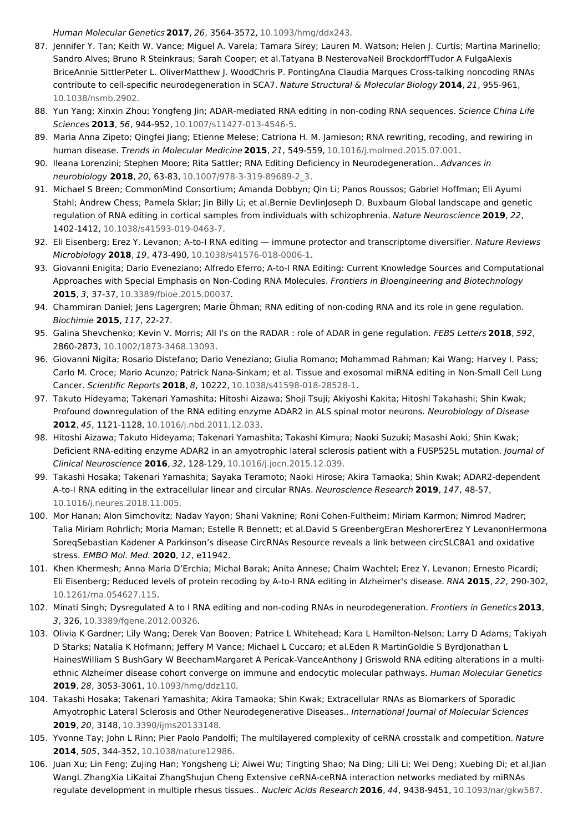<span id="page-15-0"></span>Human Molecular Genetics **2017**, 26, 3564-3572, [10.1093/hmg/ddx243](http://doi.org/10.1093/hmg/ddx243).

- 87. Jennifer Y. Tan; Keith W. Vance; Miguel A. Varela; Tamara Sirey; Lauren M. Watson; Helen J. Curtis; Martina Marinello; Sandro Alves; Bruno R Steinkraus; Sarah Cooper; et al.Tatyana B NesterovaNeil BrockdorffTudor A FulgaAlexis BriceAnnie SittlerPeter L. OliverMatthew J. WoodChris P. PontingAna Claudia Marques Cross-talking noncoding RNAs contribute to cell-specific neurodegeneration in SCA7. Nature Structural & Molecular Biology **2014**, 21, 955-961, [10.1038/nsmb.2902](http://doi.org/10.1038/nsmb.2902).
- <span id="page-15-1"></span>88. Yun Yang; Xinxin Zhou; Yongfeng Jin; ADAR-mediated RNA editing in non-coding RNA sequences. Science China Life Sciences **2013**, 56, 944-952, [10.1007/s11427-013-4546-5](http://doi.org/10.1007/s11427-013-4546-5).
- <span id="page-15-2"></span>89. Maria Anna Zipeto; Qingfei Jiang; Etienne Melese; Catriona H. M. Jamieson; RNA rewriting, recoding, and rewiring in human disease. Trends in Molecular Medicine **2015**, 21, 549-559, [10.1016/j.molmed.2015.07.001](http://doi.org/10.1016/j.molmed.2015.07.001).
- <span id="page-15-3"></span>90. Ileana Lorenzini; Stephen Moore; Rita Sattler; RNA Editing Deficiency in Neurodegeneration.. Advances in neurobiology **2018**, 20, 63-83, [10.1007/978-3-319-89689-2\\_3.](http://doi.org/10.1007/978-3-319-89689-2_3)
- <span id="page-15-4"></span>91. Michael S Breen; CommonMind Consortium; Amanda Dobbyn; Qin Li; Panos Roussos; Gabriel Hoffman; Eli Ayumi Stahl: Andrew Chess: Pamela Sklar; Jin Billy Li; et al.Bernie Devlinloseph D. Buxbaum Global landscape and genetic regulation of RNA editing in cortical samples from individuals with schizophrenia. Nature Neuroscience **2019**, 22, 1402-1412, [10.1038/s41593-019-0463-7](http://doi.org/10.1038/s41593-019-0463-7).
- <span id="page-15-5"></span>92. Eli Eisenberg; Erez Y. Levanon; A-to-I RNA editing — immune protector and transcriptome diversifier. Nature Reviews Microbiology **2018**, 19, 473-490, [10.1038/s41576-018-0006-1](http://doi.org/10.1038/s41576-018-0006-1).
- <span id="page-15-6"></span>93. Giovanni Enigita; Dario Eveneziano; Alfredo Eferro; A-to-I RNA Editing: Current Knowledge Sources and Computational Approaches with Special Emphasis on Non-Coding RNA Molecules. Frontiers in Bioengineering and Biotechnology **2015**, 3, 37-37, [10.3389/fbioe.2015.00037](http://doi.org/10.3389/fbioe.2015.00037).
- <span id="page-15-7"></span>94. Chammiran Daniel; Jens Lagergren; Marie Öhman; RNA editing of non-coding RNA and its role in gene regulation. Biochimie **2015**, 117, 22-27.
- <span id="page-15-8"></span>95. Galina Shevchenko; Kevin V. Morris; All I's on the RADAR : role of ADAR in gene regulation. FEBS Letters **2018**, 592, 2860-2873, [10.1002/1873-3468.13093](http://doi.org/10.1002/1873-3468.13093).
- <span id="page-15-9"></span>96. Giovanni Nigita; Rosario Distefano; Dario Veneziano; Giulia Romano; Mohammad Rahman; Kai Wang; Harvey I. Pass; Carlo M. Croce; Mario Acunzo; Patrick Nana-Sinkam; et al. Tissue and exosomal miRNA editing in Non-Small Cell Lung Cancer. Scientific Reports **2018**, 8, 10222, [10.1038/s41598-018-28528-1](http://doi.org/10.1038/s41598-018-28528-1).
- <span id="page-15-10"></span>97. Takuto Hideyama; Takenari Yamashita; Hitoshi Aizawa; Shoji Tsuji; Akiyoshi Kakita; Hitoshi Takahashi; Shin Kwak; Profound downregulation of the RNA editing enzyme ADAR2 in ALS spinal motor neurons. Neurobiology of Disease **2012**, 45, 1121-1128, [10.1016/j.nbd.2011.12.033](http://doi.org/10.1016/j.nbd.2011.12.033).
- <span id="page-15-11"></span>98. Hitoshi Aizawa; Takuto Hideyama; Takenari Yamashita; Takashi Kimura; Naoki Suzuki; Masashi Aoki; Shin Kwak; Deficient RNA-editing enzyme ADAR2 in an amyotrophic lateral sclerosis patient with a FUSP525L mutation. Journal of Clinical Neuroscience **2016**, 32, 128-129, [10.1016/j.jocn.2015.12.039](http://doi.org/10.1016/j.jocn.2015.12.039).
- <span id="page-15-12"></span>99. Takashi Hosaka; Takenari Yamashita; Sayaka Teramoto; Naoki Hirose; Akira Tamaoka; Shin Kwak; ADAR2-dependent A-to-I RNA editing in the extracellular linear and circular RNAs. Neuroscience Research **2019**, 147, 48-57, [10.1016/j.neures.2018.11.005](http://doi.org/10.1016/j.neures.2018.11.005).
- <span id="page-15-13"></span>100. Mor Hanan; Alon Simchovitz; Nadav Yayon; Shani Vaknine; Roni Cohen-Fultheim; Miriam Karmon; Nimrod Madrer; Talia Miriam Rohrlich; Moria Maman; Estelle R Bennett; et al.David S GreenbergEran MeshorerErez Y LevanonHermona SoreqSebastian Kadener A Parkinson's disease CircRNAs Resource reveals a link between circSLC8A1 and oxidative stress. EMBO Mol. Med. **2020**, 12, e11942.
- <span id="page-15-14"></span>101. Khen Khermesh; Anna Maria D'Erchia; Michal Barak; Anita Annese; Chaim Wachtel; Erez Y. Levanon; Ernesto Picardi; Eli Eisenberg; Reduced levels of protein recoding by A-to-I RNA editing in Alzheimer's disease. RNA **2015**, 22, 290-302, [10.1261/rna.054627.115](http://doi.org/10.1261/rna.054627.115).
- <span id="page-15-15"></span>102. Minati Singh; Dysregulated A to I RNA editing and non-coding RNAs in neurodegeneration. Frontiers in Genetics **2013**, 3, 326, [10.3389/fgene.2012.00326](http://doi.org/10.3389/fgene.2012.00326).
- <span id="page-15-16"></span>103. Olivia K Gardner; Lily Wang; Derek Van Booven; Patrice L Whitehead; Kara L Hamilton-Nelson; Larry D Adams; Takiyah D Starks; Natalia K Hofmann; Jeffery M Vance; Michael L Cuccaro; et al.Eden R MartinGoldie S ByrdJonathan L HainesWilliam S BushGary W BeechamMargaret A Pericak-VanceAnthony J Griswold RNA editing alterations in a multiethnic Alzheimer disease cohort converge on immune and endocytic molecular pathways. Human Molecular Genetics **2019**, 28, 3053-3061, [10.1093/hmg/ddz110](http://doi.org/10.1093/hmg/ddz110).
- <span id="page-15-17"></span>104. Takashi Hosaka; Takenari Yamashita; Akira Tamaoka; Shin Kwak; Extracellular RNAs as Biomarkers of Sporadic Amyotrophic Lateral Sclerosis and Other Neurodegenerative Diseases.. International Journal of Molecular Sciences **2019**, 20, 3148, [10.3390/ijms20133148](http://doi.org/10.3390/ijms20133148).
- <span id="page-15-18"></span>105. Yvonne Tay; John L Rinn; Pier Paolo Pandolfi; The multilayered complexity of ceRNA crosstalk and competition. Nature **2014**, 505, 344-352, [10.1038/nature12986](http://doi.org/10.1038/nature12986).
- <span id="page-15-19"></span>106. Juan Xu; Lin Feng; Zujing Han; Yongsheng Li; Aiwei Wu; Tingting Shao; Na Ding; Lili Li; Wei Deng; Xuebing Di; et al.Jian WangL ZhangXia LiKaitai ZhangShujun Cheng Extensive ceRNA-ceRNA interaction networks mediated by miRNAs regulate development in multiple rhesus tissues.. Nucleic Acids Research **2016**, 44, 9438-9451, [10.1093/nar/gkw587](http://doi.org/10.1093/nar/gkw587).